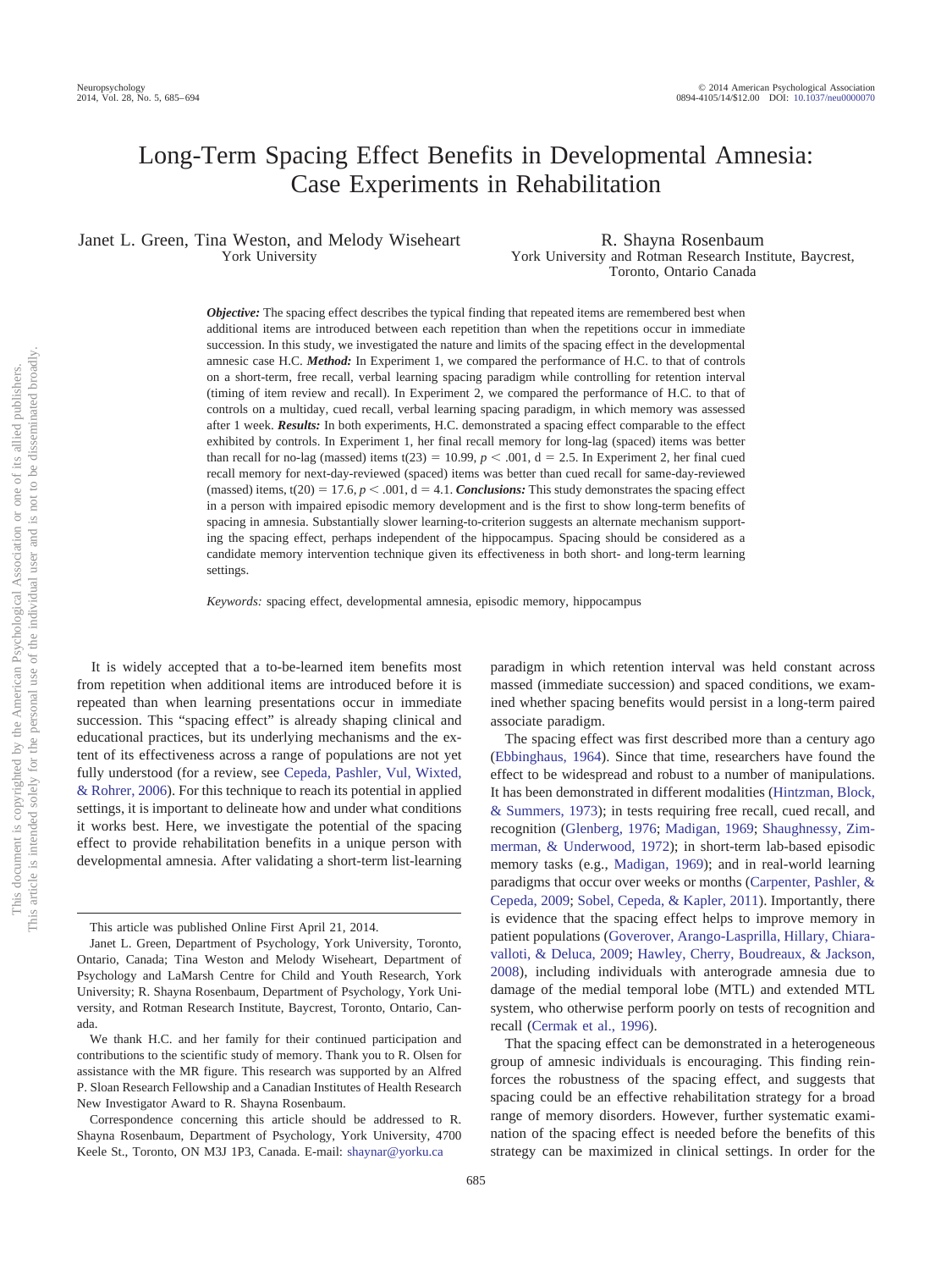# Long-Term Spacing Effect Benefits in Developmental Amnesia: Case Experiments in Rehabilitation

Janet L. Green, Tina Weston, and Melody Wiseheart York University

R. Shayna Rosenbaum York University and Rotman Research Institute, Baycrest, Toronto, Ontario Canada

*Objective:* The spacing effect describes the typical finding that repeated items are remembered best when additional items are introduced between each repetition than when the repetitions occur in immediate succession. In this study, we investigated the nature and limits of the spacing effect in the developmental amnesic case H.C. *Method:* In Experiment 1, we compared the performance of H.C. to that of controls on a short-term, free recall, verbal learning spacing paradigm while controlling for retention interval (timing of item review and recall). In Experiment 2, we compared the performance of H.C. to that of controls on a multiday, cued recall, verbal learning spacing paradigm, in which memory was assessed after 1 week. *Results:* In both experiments, H.C. demonstrated a spacing effect comparable to the effect exhibited by controls. In Experiment 1, her final recall memory for long-lag (spaced) items was better than recall for no-lag (massed) items t(23) = 10.99,  $p < .001$ ,  $d = 2.5$ . In Experiment 2, her final cued recall memory for next-day-reviewed (spaced) items was better than cued recall for same-day-reviewed (massed) items,  $t(20) = 17.6$ ,  $p < .001$ ,  $d = 4.1$ . *Conclusions:* This study demonstrates the spacing effect in a person with impaired episodic memory development and is the first to show long-term benefits of spacing in amnesia. Substantially slower learning-to-criterion suggests an alternate mechanism supporting the spacing effect, perhaps independent of the hippocampus. Spacing should be considered as a candidate memory intervention technique given its effectiveness in both short- and long-term learning settings.

*Keywords:* spacing effect, developmental amnesia, episodic memory, hippocampus

It is widely accepted that a to-be-learned item benefits most from repetition when additional items are introduced before it is repeated than when learning presentations occur in immediate succession. This "spacing effect" is already shaping clinical and educational practices, but its underlying mechanisms and the extent of its effectiveness across a range of populations are not yet fully understood (for a review, see [Cepeda, Pashler, Vul, Wixted,](#page-8-0) [& Rohrer, 2006\)](#page-8-0). For this technique to reach its potential in applied settings, it is important to delineate how and under what conditions it works best. Here, we investigate the potential of the spacing effect to provide rehabilitation benefits in a unique person with developmental amnesia. After validating a short-term list-learning

paradigm in which retention interval was held constant across massed (immediate succession) and spaced conditions, we examined whether spacing benefits would persist in a long-term paired associate paradigm.

The spacing effect was first described more than a century ago [\(Ebbinghaus, 1964\)](#page-8-1). Since that time, researchers have found the effect to be widespread and robust to a number of manipulations. It has been demonstrated in different modalities [\(Hintzman, Block,](#page-9-0) [& Summers, 1973\)](#page-9-0); in tests requiring free recall, cued recall, and recognition [\(Glenberg, 1976;](#page-8-2) [Madigan, 1969;](#page-9-1) [Shaughnessy, Zim](#page-9-2)[merman, & Underwood, 1972\)](#page-9-2); in short-term lab-based episodic memory tasks (e.g., [Madigan, 1969\)](#page-9-1); and in real-world learning paradigms that occur over weeks or months [\(Carpenter, Pashler, &](#page-8-3) [Cepeda, 2009;](#page-8-3) [Sobel, Cepeda, & Kapler, 2011\)](#page-9-3). Importantly, there is evidence that the spacing effect helps to improve memory in patient populations [\(Goverover, Arango-Lasprilla, Hillary, Chiara](#page-8-4)[valloti, & Deluca, 2009;](#page-8-4) [Hawley, Cherry, Boudreaux, & Jackson,](#page-9-4) [2008\)](#page-9-4), including individuals with anterograde amnesia due to damage of the medial temporal lobe (MTL) and extended MTL system, who otherwise perform poorly on tests of recognition and recall [\(Cermak et al., 1996\)](#page-8-5).

That the spacing effect can be demonstrated in a heterogeneous group of amnesic individuals is encouraging. This finding reinforces the robustness of the spacing effect, and suggests that spacing could be an effective rehabilitation strategy for a broad range of memory disorders. However, further systematic examination of the spacing effect is needed before the benefits of this strategy can be maximized in clinical settings. In order for the

This article was published Online First April 21, 2014.

Janet L. Green, Department of Psychology, York University, Toronto, Ontario, Canada; Tina Weston and Melody Wiseheart, Department of Psychology and LaMarsh Centre for Child and Youth Research, York University; R. Shayna Rosenbaum, Department of Psychology, York University, and Rotman Research Institute, Baycrest, Toronto, Ontario, Canada.

We thank H.C. and her family for their continued participation and contributions to the scientific study of memory. Thank you to R. Olsen for assistance with the MR figure. This research was supported by an Alfred P. Sloan Research Fellowship and a Canadian Institutes of Health Research New Investigator Award to R. Shayna Rosenbaum.

Correspondence concerning this article should be addressed to R. Shayna Rosenbaum, Department of Psychology, York University, 4700 Keele St., Toronto, ON M3J 1P3, Canada. E-mail: [shaynar@yorku.ca](mailto:shaynar@yorku.ca)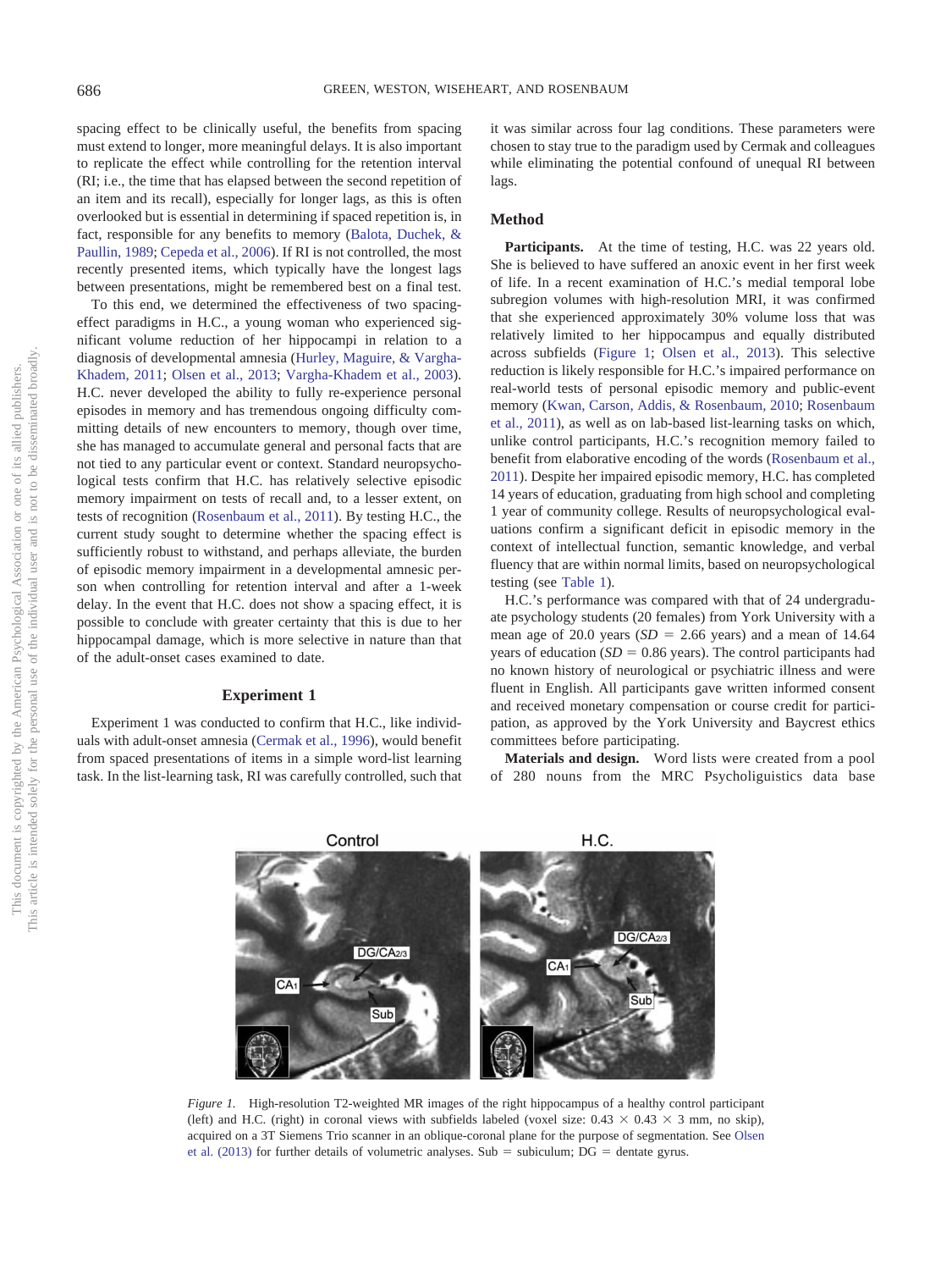spacing effect to be clinically useful, the benefits from spacing must extend to longer, more meaningful delays. It is also important to replicate the effect while controlling for the retention interval (RI; i.e., the time that has elapsed between the second repetition of an item and its recall), especially for longer lags, as this is often overlooked but is essential in determining if spaced repetition is, in fact, responsible for any benefits to memory [\(Balota, Duchek, &](#page-8-6) [Paullin, 1989;](#page-8-6) [Cepeda et al., 2006\)](#page-8-0). If RI is not controlled, the most recently presented items, which typically have the longest lags between presentations, might be remembered best on a final test.

To this end, we determined the effectiveness of two spacingeffect paradigms in H.C., a young woman who experienced significant volume reduction of her hippocampi in relation to a diagnosis of developmental amnesia [\(Hurley, Maguire, & Vargha-](#page-9-5)[Khadem, 2011;](#page-9-5) [Olsen et al., 2013;](#page-9-6) [Vargha-Khadem et al., 2003\)](#page-9-7). H.C. never developed the ability to fully re-experience personal episodes in memory and has tremendous ongoing difficulty committing details of new encounters to memory, though over time, she has managed to accumulate general and personal facts that are not tied to any particular event or context. Standard neuropsychological tests confirm that H.C. has relatively selective episodic memory impairment on tests of recall and, to a lesser extent, on tests of recognition [\(Rosenbaum et al., 2011\)](#page-9-8). By testing H.C., the current study sought to determine whether the spacing effect is sufficiently robust to withstand, and perhaps alleviate, the burden of episodic memory impairment in a developmental amnesic person when controlling for retention interval and after a 1-week delay. In the event that H.C. does not show a spacing effect, it is possible to conclude with greater certainty that this is due to her hippocampal damage, which is more selective in nature than that of the adult-onset cases examined to date.

# **Experiment 1**

Experiment 1 was conducted to confirm that H.C., like individuals with adult-onset amnesia [\(Cermak et al., 1996\)](#page-8-5), would benefit from spaced presentations of items in a simple word-list learning task. In the list-learning task, RI was carefully controlled, such that it was similar across four lag conditions. These parameters were chosen to stay true to the paradigm used by Cermak and colleagues while eliminating the potential confound of unequal RI between lags.

# **Method**

Participants. At the time of testing, H.C. was 22 years old. She is believed to have suffered an anoxic event in her first week of life. In a recent examination of H.C.'s medial temporal lobe subregion volumes with high-resolution MRI, it was confirmed that she experienced approximately 30% volume loss that was relatively limited to her hippocampus and equally distributed across subfields [\(Figure 1;](#page-1-0) [Olsen et al., 2013\)](#page-9-6). This selective reduction is likely responsible for H.C.'s impaired performance on real-world tests of personal episodic memory and public-event memory [\(Kwan, Carson, Addis, & Rosenbaum, 2010;](#page-9-9) [Rosenbaum](#page-9-8) [et al., 2011\)](#page-9-8), as well as on lab-based list-learning tasks on which, unlike control participants, H.C.'s recognition memory failed to benefit from elaborative encoding of the words [\(Rosenbaum et al.,](#page-9-8) [2011\)](#page-9-8). Despite her impaired episodic memory, H.C. has completed 14 years of education, graduating from high school and completing 1 year of community college. Results of neuropsychological evaluations confirm a significant deficit in episodic memory in the context of intellectual function, semantic knowledge, and verbal fluency that are within normal limits, based on neuropsychological testing (see [Table 1\)](#page-2-0).

H.C.'s performance was compared with that of 24 undergraduate psychology students (20 females) from York University with a mean age of 20.0 years  $(SD = 2.66$  years) and a mean of 14.64 years of education  $(SD = 0.86$  years). The control participants had no known history of neurological or psychiatric illness and were fluent in English. All participants gave written informed consent and received monetary compensation or course credit for participation, as approved by the York University and Baycrest ethics committees before participating.

**Materials and design.** Word lists were created from a pool of 280 nouns from the MRC Psycholiguistics data base



<span id="page-1-0"></span>*Figure 1.* High-resolution T2-weighted MR images of the right hippocampus of a healthy control participant (left) and H.C. (right) in coronal views with subfields labeled (voxel size:  $0.43 \times 0.43 \times 3$  mm, no skip), acquired on a 3T Siemens Trio scanner in an oblique-coronal plane for the purpose of segmentation. See [Olsen](#page-9-6) et al.  $(2013)$  for further details of volumetric analyses. Sub = subiculum;  $DG =$  dentate gyrus.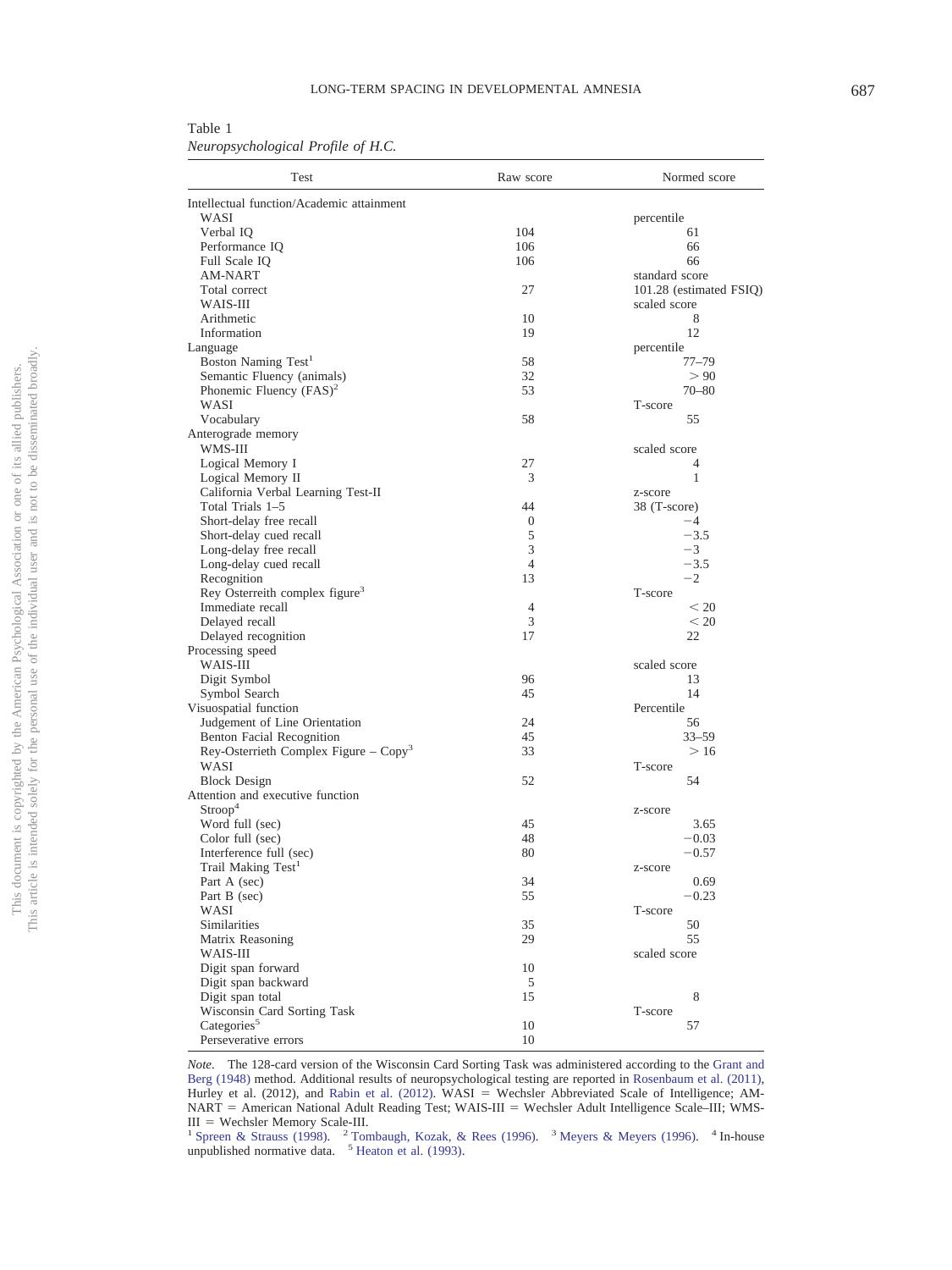<span id="page-2-0"></span>Table 1 *Neuropsychological Profile of H.C.*

| Test                                            | Raw score      | Normed score            |
|-------------------------------------------------|----------------|-------------------------|
| Intellectual function/Academic attainment       |                |                         |
| WASI                                            |                | percentile              |
| Verbal IQ                                       | 104            | 61                      |
| Performance IQ                                  | 106            | 66                      |
| Full Scale IQ                                   | 106            | 66                      |
| AM-NART                                         |                | standard score          |
| Total correct                                   | 27             | 101.28 (estimated FSIQ) |
| WAIS-III                                        |                | scaled score            |
| Arithmetic                                      | 10             | 8                       |
| Information                                     | 19             | 12                      |
| Language                                        |                | percentile              |
| Boston Naming Test <sup>1</sup>                 | 58             | $77 - 79$               |
| Semantic Fluency (animals)                      | 32             | > 90                    |
| Phonemic Fluency (FAS) <sup>2</sup>             | 53             | $70 - 80$               |
| WASI                                            |                | T-score                 |
| Vocabulary                                      | 58             | 55                      |
| Anterograde memory                              |                |                         |
| WMS-III                                         |                | scaled score            |
| Logical Memory I                                | 27             | 4                       |
| Logical Memory II                               | 3              | 1                       |
| California Verbal Learning Test-II              |                | z-score                 |
| Total Trials 1-5                                | 44             | 38 (T-score)            |
| Short-delay free recall                         | $\mathbf{0}$   | $-4$                    |
| Short-delay cued recall                         | 5              | $-3.5$                  |
| Long-delay free recall                          | 3              | $-3$                    |
| Long-delay cued recall                          | 4              | $-3.5$                  |
| Recognition                                     | 13             | $-2$                    |
| Rey Osterreith complex figure <sup>3</sup>      |                | T-score                 |
| Immediate recall                                | $\overline{4}$ | < 20                    |
| Delayed recall                                  | 3              | < 20                    |
| Delayed recognition                             | 17             | 22                      |
| Processing speed                                |                |                         |
| WAIS-III                                        |                | scaled score            |
| Digit Symbol                                    | 96<br>45       | 13<br>14                |
| Symbol Search                                   |                | Percentile              |
| Visuospatial function                           | 24             |                         |
| Judgement of Line Orientation                   | 45             | 56<br>$33 - 59$         |
| Benton Facial Recognition                       | 33             | >16                     |
| Rey-Osterrieth Complex Figure – $Copy3$<br>WASI |                | T-score                 |
| <b>Block Design</b>                             | 52             | 54                      |
| Attention and executive function                |                |                         |
| Stroop <sup>4</sup>                             |                | z-score                 |
| Word full (sec)                                 | 45             | 3.65                    |
| Color full (sec)                                | 48             | $-0.03$                 |
| Interference full (sec)                         | 80             | $-0.57$                 |
| Trail Making Test <sup>1</sup>                  |                | z-score                 |
| Part A (sec)                                    | 34             | 0.69                    |
| Part B (sec)                                    | 55             | $-0.23$                 |
| WASI                                            |                | T-score                 |
| Similarities                                    | 35             | 50                      |
| Matrix Reasoning                                | 29             | 55                      |
| WAIS-III                                        |                | scaled score            |
| Digit span forward                              | 10             |                         |
| Digit span backward                             | 5              |                         |
| Digit span total                                | 15             | 8                       |
| Wisconsin Card Sorting Task                     |                | T-score                 |
| Categories <sup>5</sup>                         | 10             | 57                      |
| Perseverative errors                            | 10             |                         |
|                                                 |                |                         |

*Note*. The 128-card version of the Wisconsin Card Sorting Task was administered according to the [Grant and](#page-8-7) [Berg \(1948\)](#page-8-7) method. Additional results of neuropsychological testing are reported in [Rosenbaum et al. \(2011\)](#page-9-8) , Hurley et al. (2012), and [Rabin et al. \(2012\).](#page-9-10) WASI - Wechsler Abbreviated Scale of Intelligence; AM-NART = American National Adult Reading Test; WAIS-III = Wechsler Adult Intelligence Scale–III; WMS- $III = Wechsler Memory Scale-III.$ 

III = Wechsler Memory Scale-III.<br><sup>1</sup> [Spreen & Strauss \(1998\).](#page-9-11) <sup>2</sup> [Tombaugh, Kozak, & Rees \(1996\).](#page-9-12) <sup>3</sup> [Meyers & Meyers \(1996\).](#page-9-13) <sup>4</sup> In-house unpublished normative data. <sup>5</sup> [Heaton et al. \(1993\)](#page-9-14).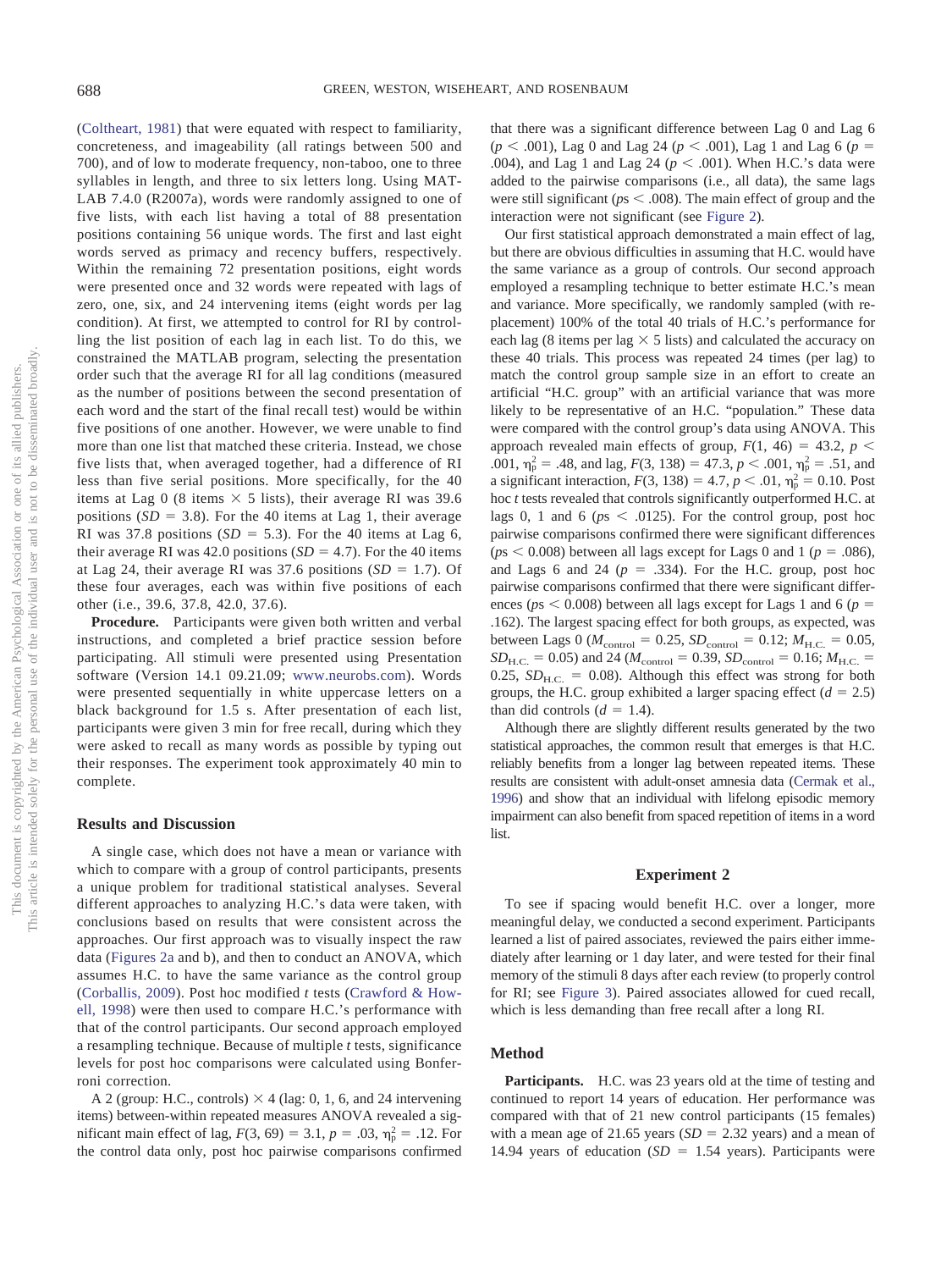[\(Coltheart, 1981\)](#page-8-8) that were equated with respect to familiarity, concreteness, and imageability (all ratings between 500 and 700), and of low to moderate frequency, non-taboo, one to three syllables in length, and three to six letters long. Using MAT-LAB 7.4.0 (R2007a), words were randomly assigned to one of five lists, with each list having a total of 88 presentation positions containing 56 unique words. The first and last eight words served as primacy and recency buffers, respectively. Within the remaining 72 presentation positions, eight words were presented once and 32 words were repeated with lags of zero, one, six, and 24 intervening items (eight words per lag condition). At first, we attempted to control for RI by controlling the list position of each lag in each list. To do this, we constrained the MATLAB program, selecting the presentation order such that the average RI for all lag conditions (measured as the number of positions between the second presentation of each word and the start of the final recall test) would be within five positions of one another. However, we were unable to find more than one list that matched these criteria. Instead, we chose five lists that, when averaged together, had a difference of RI less than five serial positions. More specifically, for the 40 items at Lag 0 (8 items  $\times$  5 lists), their average RI was 39.6 positions  $(SD = 3.8)$ . For the 40 items at Lag 1, their average RI was 37.8 positions  $(SD = 5.3)$ . For the 40 items at Lag 6, their average RI was  $42.0$  positions  $(SD = 4.7)$ . For the 40 items at Lag 24, their average RI was  $37.6$  positions  $(SD = 1.7)$ . Of these four averages, each was within five positions of each other (i.e., 39.6, 37.8, 42.0, 37.6).

**Procedure.** Participants were given both written and verbal instructions, and completed a brief practice session before participating. All stimuli were presented using Presentation software (Version 14.1 09.21.09; [www.neurobs.com\)](http://www.neurobs.com). Words were presented sequentially in white uppercase letters on a black background for 1.5 s. After presentation of each list, participants were given 3 min for free recall, during which they were asked to recall as many words as possible by typing out their responses. The experiment took approximately 40 min to complete.

## **Results and Discussion**

A single case, which does not have a mean or variance with which to compare with a group of control participants, presents a unique problem for traditional statistical analyses. Several different approaches to analyzing H.C.'s data were taken, with conclusions based on results that were consistent across the approaches. Our first approach was to visually inspect the raw data [\(Figures 2a](#page-4-0) and b), and then to conduct an ANOVA, which assumes H.C. to have the same variance as the control group [\(Corballis, 2009\)](#page-8-9). Post hoc modified *t* tests [\(Crawford & How](#page-8-10)[ell, 1998\)](#page-8-10) were then used to compare H.C.'s performance with that of the control participants. Our second approach employed a resampling technique. Because of multiple *t* tests, significance levels for post hoc comparisons were calculated using Bonferroni correction.

A 2 (group: H.C., controls)  $\times$  4 (lag: 0, 1, 6, and 24 intervening items) between-within repeated measures ANOVA revealed a significant main effect of lag,  $F(3, 69) = 3.1, p = .03, \eta_{p}^{2} = .12$ . For the control data only, post hoc pairwise comparisons confirmed that there was a significant difference between Lag 0 and Lag 6  $(p < .001)$ , Lag 0 and Lag 24 ( $p < .001$ ), Lag 1 and Lag 6 ( $p =$ .004), and Lag 1 and Lag 24 ( $p < .001$ ). When H.C.'s data were added to the pairwise comparisons (i.e., all data), the same lags were still significant ( $ps < .008$ ). The main effect of group and the interaction were not significant (see [Figure 2\)](#page-4-0).

Our first statistical approach demonstrated a main effect of lag, but there are obvious difficulties in assuming that H.C. would have the same variance as a group of controls. Our second approach employed a resampling technique to better estimate H.C.'s mean and variance. More specifically, we randomly sampled (with replacement) 100% of the total 40 trials of H.C.'s performance for each lag (8 items per lag  $\times$  5 lists) and calculated the accuracy on these 40 trials. This process was repeated 24 times (per lag) to match the control group sample size in an effort to create an artificial "H.C. group" with an artificial variance that was more likely to be representative of an H.C. "population." These data were compared with the control group's data using ANOVA. This approach revealed main effects of group,  $F(1, 46) = 43.2$ ,  $p <$ .001,  $\eta_p^2 = .48$ , and lag,  $F(3, 138) = 47.3$ ,  $p < .001$ ,  $\eta_p^2 = .51$ , and a significant interaction,  $F(3, 138) = 4.7, p < .01, \eta_{p}^{2} = 0.10$ . Post hoc *t* tests revealed that controls significantly outperformed H.C. at lags 0, 1 and 6 ( $ps < .0125$ ). For the control group, post hoc pairwise comparisons confirmed there were significant differences  $(ps < 0.008)$  between all lags except for Lags 0 and 1 ( $p = .086$ ), and Lags 6 and 24  $(p = .334)$ . For the H.C. group, post hoc pairwise comparisons confirmed that there were significant differences ( $ps < 0.008$ ) between all lags except for Lags 1 and 6 ( $p =$ .162). The largest spacing effect for both groups, as expected, was between Lags 0 ( $M_{\text{control}} = 0.25$ ,  $SD_{\text{control}} = 0.12$ ;  $M_{\text{H.C.}} = 0.05$ ,  $SD_{H.C.} = 0.05$  and 24 ( $M_{control} = 0.39$ ,  $SD_{control} = 0.16$ ;  $M_{H.C.} =$ 0.25,  $SD<sub>H.C.</sub> = 0.08$ ). Although this effect was strong for both groups, the H.C. group exhibited a larger spacing effect  $(d = 2.5)$ than did controls  $(d = 1.4)$ .

Although there are slightly different results generated by the two statistical approaches, the common result that emerges is that H.C. reliably benefits from a longer lag between repeated items. These results are consistent with adult-onset amnesia data [\(Cermak et al.,](#page-8-5) [1996\)](#page-8-5) and show that an individual with lifelong episodic memory impairment can also benefit from spaced repetition of items in a word **list** 

#### **Experiment 2**

To see if spacing would benefit H.C. over a longer, more meaningful delay, we conducted a second experiment. Participants learned a list of paired associates, reviewed the pairs either immediately after learning or 1 day later, and were tested for their final memory of the stimuli 8 days after each review (to properly control for RI; see [Figure 3\)](#page-5-0). Paired associates allowed for cued recall, which is less demanding than free recall after a long RI.

#### **Method**

**Participants.** H.C. was 23 years old at the time of testing and continued to report 14 years of education. Her performance was compared with that of 21 new control participants (15 females) with a mean age of 21.65 years  $(SD = 2.32$  years) and a mean of 14.94 years of education  $(SD = 1.54$  years). Participants were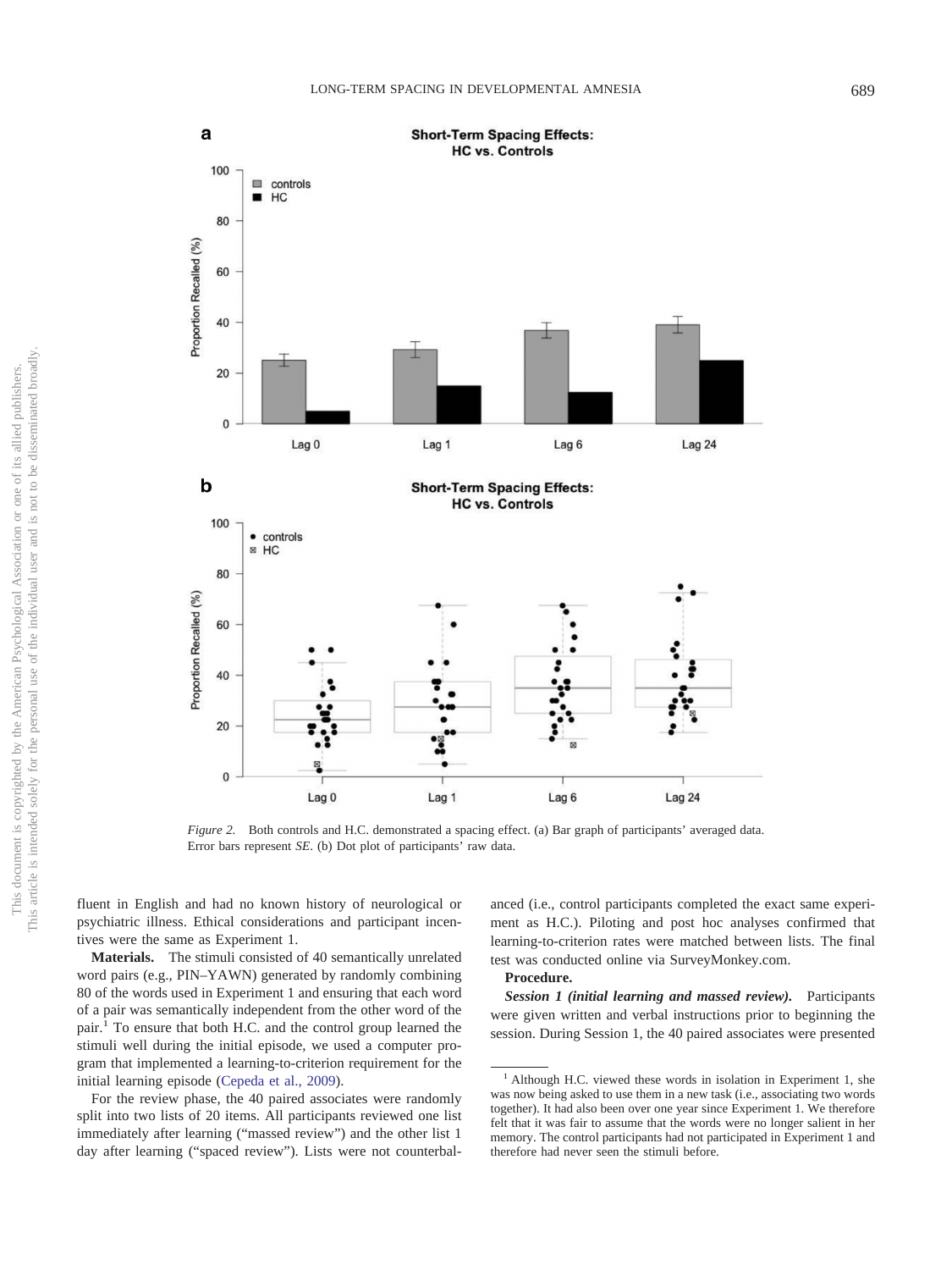

<span id="page-4-0"></span>*Figure 2.* Both controls and H.C. demonstrated a spacing effect. (a) Bar graph of participants' averaged data. Error bars represent *SE*. (b) Dot plot of participants' raw data.

fluent in English and had no known history of neurological or psychiatric illness. Ethical considerations and participant incentives were the same as Experiment 1.

**Materials.** The stimuli consisted of 40 semantically unrelated word pairs (e.g., PIN–YAWN) generated by randomly combining 80 of the words used in Experiment 1 and ensuring that each word of a pair was semantically independent from the other word of the pair.1 To ensure that both H.C. and the control group learned the stimuli well during the initial episode, we used a computer program that implemented a learning-to-criterion requirement for the initial learning episode [\(Cepeda et al., 2009\)](#page-8-11).

For the review phase, the 40 paired associates were randomly split into two lists of 20 items. All participants reviewed one list immediately after learning ("massed review") and the other list 1 day after learning ("spaced review"). Lists were not counterbal-

anced (i.e., control participants completed the exact same experiment as H.C.). Piloting and post hoc analyses confirmed that learning-to-criterion rates were matched between lists. The final test was conducted online via SurveyMonkey.com.

# **Procedure.**

*Session 1 (initial learning and massed review).* Participants were given written and verbal instructions prior to beginning the session. During Session 1, the 40 paired associates were presented

 $<sup>1</sup>$  Although H.C. viewed these words in isolation in Experiment 1, she</sup> was now being asked to use them in a new task (i.e., associating two words together). It had also been over one year since Experiment 1. We therefore felt that it was fair to assume that the words were no longer salient in her memory. The control participants had not participated in Experiment 1 and therefore had never seen the stimuli before.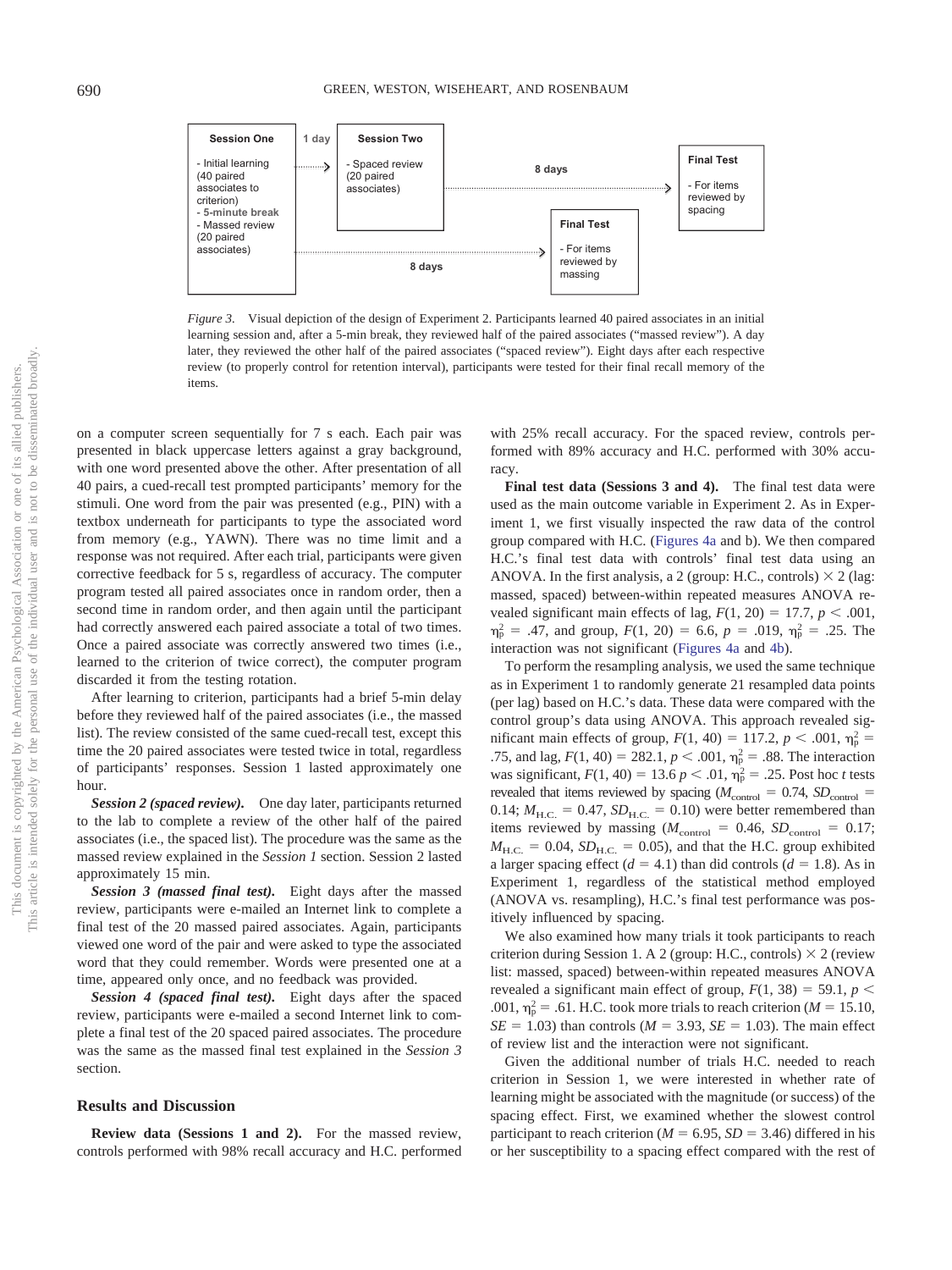

<span id="page-5-0"></span>*Figure 3.* Visual depiction of the design of Experiment 2. Participants learned 40 paired associates in an initial learning session and, after a 5-min break, they reviewed half of the paired associates ("massed review"). A day later, they reviewed the other half of the paired associates ("spaced review"). Eight days after each respective review (to properly control for retention interval), participants were tested for their final recall memory of the items.

on a computer screen sequentially for 7 s each. Each pair was presented in black uppercase letters against a gray background, with one word presented above the other. After presentation of all 40 pairs, a cued-recall test prompted participants' memory for the stimuli. One word from the pair was presented (e.g., PIN) with a textbox underneath for participants to type the associated word from memory (e.g., YAWN). There was no time limit and a response was not required. After each trial, participants were given corrective feedback for 5 s, regardless of accuracy. The computer program tested all paired associates once in random order, then a second time in random order, and then again until the participant had correctly answered each paired associate a total of two times. Once a paired associate was correctly answered two times (i.e., learned to the criterion of twice correct), the computer program discarded it from the testing rotation.

After learning to criterion, participants had a brief 5-min delay before they reviewed half of the paired associates (i.e., the massed list). The review consisted of the same cued-recall test, except this time the 20 paired associates were tested twice in total, regardless of participants' responses. Session 1 lasted approximately one hour.

*Session 2 (spaced review).* One day later, participants returned to the lab to complete a review of the other half of the paired associates (i.e., the spaced list). The procedure was the same as the massed review explained in the *Session 1* section. Session 2 lasted approximately 15 min.

*Session 3 (massed final test).* Eight days after the massed review, participants were e-mailed an Internet link to complete a final test of the 20 massed paired associates. Again, participants viewed one word of the pair and were asked to type the associated word that they could remember. Words were presented one at a time, appeared only once, and no feedback was provided.

*Session 4 (spaced final test).* Eight days after the spaced review, participants were e-mailed a second Internet link to complete a final test of the 20 spaced paired associates. The procedure was the same as the massed final test explained in the *Session 3* section.

## **Results and Discussion**

**Review data (Sessions 1 and 2).** For the massed review, controls performed with 98% recall accuracy and H.C. performed

with 25% recall accuracy. For the spaced review, controls performed with 89% accuracy and H.C. performed with 30% accuracy.

**Final test data (Sessions 3 and 4).** The final test data were used as the main outcome variable in Experiment 2. As in Experiment 1, we first visually inspected the raw data of the control group compared with H.C. [\(Figures 4a](#page-6-0) and b). We then compared H.C.'s final test data with controls' final test data using an ANOVA. In the first analysis, a 2 (group: H.C., controls)  $\times$  2 (lag: massed, spaced) between-within repeated measures ANOVA revealed significant main effects of lag,  $F(1, 20) = 17.7$ ,  $p < .001$ ,  $\eta_{\rm p}^2 = .47$ , and group,  $F(1, 20) = 6.6$ ,  $p = .019$ ,  $\eta_{\rm p}^2 = .25$ . The interaction was not significant [\(Figures 4a](#page-6-0) and [4b\)](#page-6-0).

To perform the resampling analysis, we used the same technique as in Experiment 1 to randomly generate 21 resampled data points (per lag) based on H.C.'s data. These data were compared with the control group's data using ANOVA. This approach revealed significant main effects of group,  $F(1, 40) = 117.2, p < .001, \eta_{p}^{2} =$ .75, and lag,  $F(1, 40) = 282.1$ ,  $p < .001$ ,  $\eta_p^2 = .88$ . The interaction was significant,  $F(1, 40) = 13.6 p < .01$ ,  $\eta_p^2 = .25$ . Post hoc *t* tests revealed that items reviewed by spacing  $(M_{\text{control}} = 0.74, SD_{\text{control}} =$  $0.14; M_{\text{H.C.}} = 0.47, SD_{\text{H.C.}} = 0.10$ ) were better remembered than items reviewed by massing  $(M_{\text{control}} = 0.46, SD_{\text{control}} = 0.17;$  $M_{\text{H.C.}} = 0.04$ ,  $SD_{\text{H.C.}} = 0.05$ ), and that the H.C. group exhibited a larger spacing effect  $(d = 4.1)$  than did controls  $(d = 1.8)$ . As in Experiment 1, regardless of the statistical method employed (ANOVA vs. resampling), H.C.'s final test performance was positively influenced by spacing.

We also examined how many trials it took participants to reach criterion during Session 1. A 2 (group: H.C., controls)  $\times$  2 (review list: massed, spaced) between-within repeated measures ANOVA revealed a significant main effect of group,  $F(1, 38) = 59.1$ ,  $p <$ .001,  $\eta_p^2$  = .61. H.C. took more trials to reach criterion (*M* = 15.10,  $SE = 1.03$ ) than controls ( $M = 3.93$ ,  $SE = 1.03$ ). The main effect of review list and the interaction were not significant.

Given the additional number of trials H.C. needed to reach criterion in Session 1, we were interested in whether rate of learning might be associated with the magnitude (or success) of the spacing effect. First, we examined whether the slowest control participant to reach criterion ( $M = 6.95$ ,  $SD = 3.46$ ) differed in his or her susceptibility to a spacing effect compared with the rest of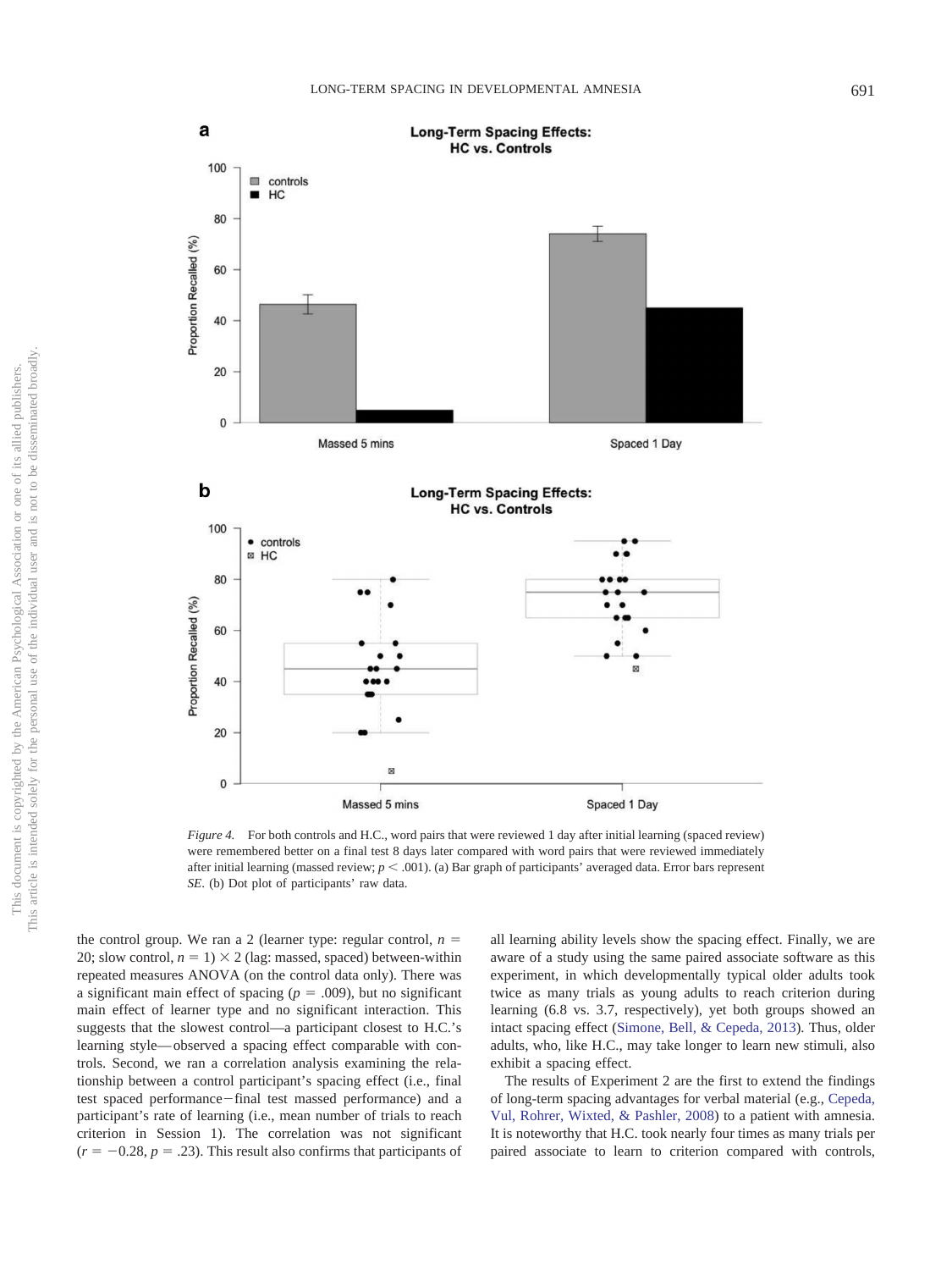

<span id="page-6-0"></span>*Figure 4.* For both controls and H.C., word pairs that were reviewed 1 day after initial learning (spaced review) were remembered better on a final test 8 days later compared with word pairs that were reviewed immediately after initial learning (massed review;  $p < .001$ ). (a) Bar graph of participants' averaged data. Error bars represent *SE*. (b) Dot plot of participants' raw data.

the control group. We ran a 2 (learner type: regular control,  $n =$ 20; slow control,  $n = 1$ )  $\times$  2 (lag: massed, spaced) between-within repeated measures ANOVA (on the control data only). There was a significant main effect of spacing  $(p = .009)$ , but no significant main effect of learner type and no significant interaction. This suggests that the slowest control—a participant closest to H.C.'s learning style— observed a spacing effect comparable with controls. Second, we ran a correlation analysis examining the relationship between a control participant's spacing effect (i.e., final test spaced performance-final test massed performance) and a participant's rate of learning (i.e., mean number of trials to reach criterion in Session 1). The correlation was not significant  $(r = -0.28, p = .23)$ . This result also confirms that participants of all learning ability levels show the spacing effect. Finally, we are aware of a study using the same paired associate software as this experiment, in which developmentally typical older adults took twice as many trials as young adults to reach criterion during learning (6.8 vs. 3.7, respectively), yet both groups showed an intact spacing effect [\(Simone, Bell, & Cepeda, 2013\)](#page-9-15). Thus, older adults, who, like H.C., may take longer to learn new stimuli, also exhibit a spacing effect.

The results of Experiment 2 are the first to extend the findings of long-term spacing advantages for verbal material (e.g., [Cepeda,](#page-8-12) [Vul, Rohrer, Wixted, & Pashler, 2008\)](#page-8-12) to a patient with amnesia. It is noteworthy that H.C. took nearly four times as many trials per paired associate to learn to criterion compared with controls,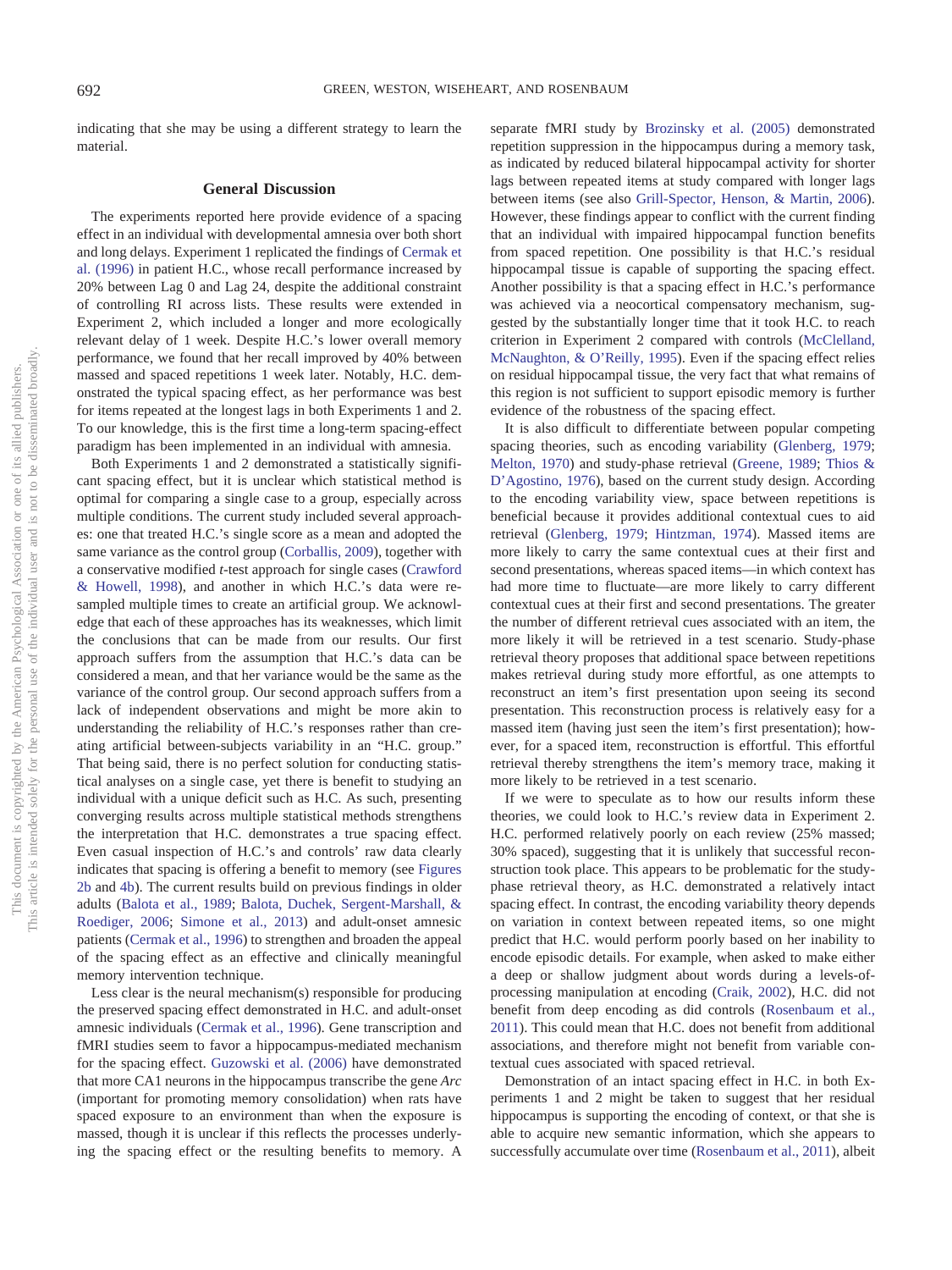indicating that she may be using a different strategy to learn the material.

## **General Discussion**

The experiments reported here provide evidence of a spacing effect in an individual with developmental amnesia over both short and long delays. Experiment 1 replicated the findings of [Cermak et](#page-8-5) [al. \(1996\)](#page-8-5) in patient H.C., whose recall performance increased by 20% between Lag 0 and Lag 24, despite the additional constraint of controlling RI across lists. These results were extended in Experiment 2, which included a longer and more ecologically relevant delay of 1 week. Despite H.C.'s lower overall memory performance, we found that her recall improved by 40% between massed and spaced repetitions 1 week later. Notably, H.C. demonstrated the typical spacing effect, as her performance was best for items repeated at the longest lags in both Experiments 1 and 2. To our knowledge, this is the first time a long-term spacing-effect paradigm has been implemented in an individual with amnesia.

Both Experiments 1 and 2 demonstrated a statistically significant spacing effect, but it is unclear which statistical method is optimal for comparing a single case to a group, especially across multiple conditions. The current study included several approaches: one that treated H.C.'s single score as a mean and adopted the same variance as the control group [\(Corballis, 2009\)](#page-8-9), together with a conservative modified *t*-test approach for single cases [\(Crawford](#page-8-10) [& Howell, 1998\)](#page-8-10), and another in which H.C.'s data were resampled multiple times to create an artificial group. We acknowledge that each of these approaches has its weaknesses, which limit the conclusions that can be made from our results. Our first approach suffers from the assumption that H.C.'s data can be considered a mean, and that her variance would be the same as the variance of the control group. Our second approach suffers from a lack of independent observations and might be more akin to understanding the reliability of H.C.'s responses rather than creating artificial between-subjects variability in an "H.C. group." That being said, there is no perfect solution for conducting statistical analyses on a single case, yet there is benefit to studying an individual with a unique deficit such as H.C. As such, presenting converging results across multiple statistical methods strengthens the interpretation that H.C. demonstrates a true spacing effect. Even casual inspection of H.C.'s and controls' raw data clearly indicates that spacing is offering a benefit to memory (see [Figures](#page-4-0) [2b](#page-4-0) and [4b\)](#page-6-0). The current results build on previous findings in older adults [\(Balota et al., 1989;](#page-8-6) [Balota, Duchek, Sergent-Marshall, &](#page-8-13) [Roediger, 2006;](#page-8-13) [Simone et al., 2013\)](#page-9-15) and adult-onset amnesic patients [\(Cermak et al., 1996\)](#page-8-5) to strengthen and broaden the appeal of the spacing effect as an effective and clinically meaningful memory intervention technique.

Less clear is the neural mechanism(s) responsible for producing the preserved spacing effect demonstrated in H.C. and adult-onset amnesic individuals [\(Cermak et al., 1996\)](#page-8-5). Gene transcription and fMRI studies seem to favor a hippocampus-mediated mechanism for the spacing effect. [Guzowski et al. \(2006\)](#page-9-16) have demonstrated that more CA1 neurons in the hippocampus transcribe the gene *Arc* (important for promoting memory consolidation) when rats have spaced exposure to an environment than when the exposure is massed, though it is unclear if this reflects the processes underlying the spacing effect or the resulting benefits to memory. A

separate fMRI study by [Brozinsky et al. \(2005\)](#page-8-14) demonstrated repetition suppression in the hippocampus during a memory task, as indicated by reduced bilateral hippocampal activity for shorter lags between repeated items at study compared with longer lags between items (see also [Grill-Spector, Henson, & Martin, 2006\)](#page-8-15). However, these findings appear to conflict with the current finding that an individual with impaired hippocampal function benefits from spaced repetition. One possibility is that H.C.'s residual hippocampal tissue is capable of supporting the spacing effect. Another possibility is that a spacing effect in H.C.'s performance was achieved via a neocortical compensatory mechanism, suggested by the substantially longer time that it took H.C. to reach criterion in Experiment 2 compared with controls [\(McClelland,](#page-9-17) [McNaughton, & O'Reilly, 1995\)](#page-9-17). Even if the spacing effect relies on residual hippocampal tissue, the very fact that what remains of this region is not sufficient to support episodic memory is further evidence of the robustness of the spacing effect.

It is also difficult to differentiate between popular competing spacing theories, such as encoding variability [\(Glenberg, 1979;](#page-8-16) [Melton, 1970\)](#page-9-18) and study-phase retrieval [\(Greene, 1989;](#page-8-17) [Thios &](#page-9-19) [D'Agostino, 1976\)](#page-9-19), based on the current study design. According to the encoding variability view, space between repetitions is beneficial because it provides additional contextual cues to aid retrieval [\(Glenberg, 1979;](#page-8-16) [Hintzman, 1974\)](#page-9-20). Massed items are more likely to carry the same contextual cues at their first and second presentations, whereas spaced items—in which context has had more time to fluctuate—are more likely to carry different contextual cues at their first and second presentations. The greater the number of different retrieval cues associated with an item, the more likely it will be retrieved in a test scenario. Study-phase retrieval theory proposes that additional space between repetitions makes retrieval during study more effortful, as one attempts to reconstruct an item's first presentation upon seeing its second presentation. This reconstruction process is relatively easy for a massed item (having just seen the item's first presentation); however, for a spaced item, reconstruction is effortful. This effortful retrieval thereby strengthens the item's memory trace, making it more likely to be retrieved in a test scenario.

If we were to speculate as to how our results inform these theories, we could look to H.C.'s review data in Experiment 2. H.C. performed relatively poorly on each review (25% massed; 30% spaced), suggesting that it is unlikely that successful reconstruction took place. This appears to be problematic for the studyphase retrieval theory, as H.C. demonstrated a relatively intact spacing effect. In contrast, the encoding variability theory depends on variation in context between repeated items, so one might predict that H.C. would perform poorly based on her inability to encode episodic details. For example, when asked to make either a deep or shallow judgment about words during a levels-ofprocessing manipulation at encoding [\(Craik, 2002\)](#page-8-18), H.C. did not benefit from deep encoding as did controls [\(Rosenbaum et al.,](#page-9-8) [2011\)](#page-9-8). This could mean that H.C. does not benefit from additional associations, and therefore might not benefit from variable contextual cues associated with spaced retrieval.

Demonstration of an intact spacing effect in H.C. in both Experiments 1 and 2 might be taken to suggest that her residual hippocampus is supporting the encoding of context, or that she is able to acquire new semantic information, which she appears to successfully accumulate over time [\(Rosenbaum et al., 2011\)](#page-9-8), albeit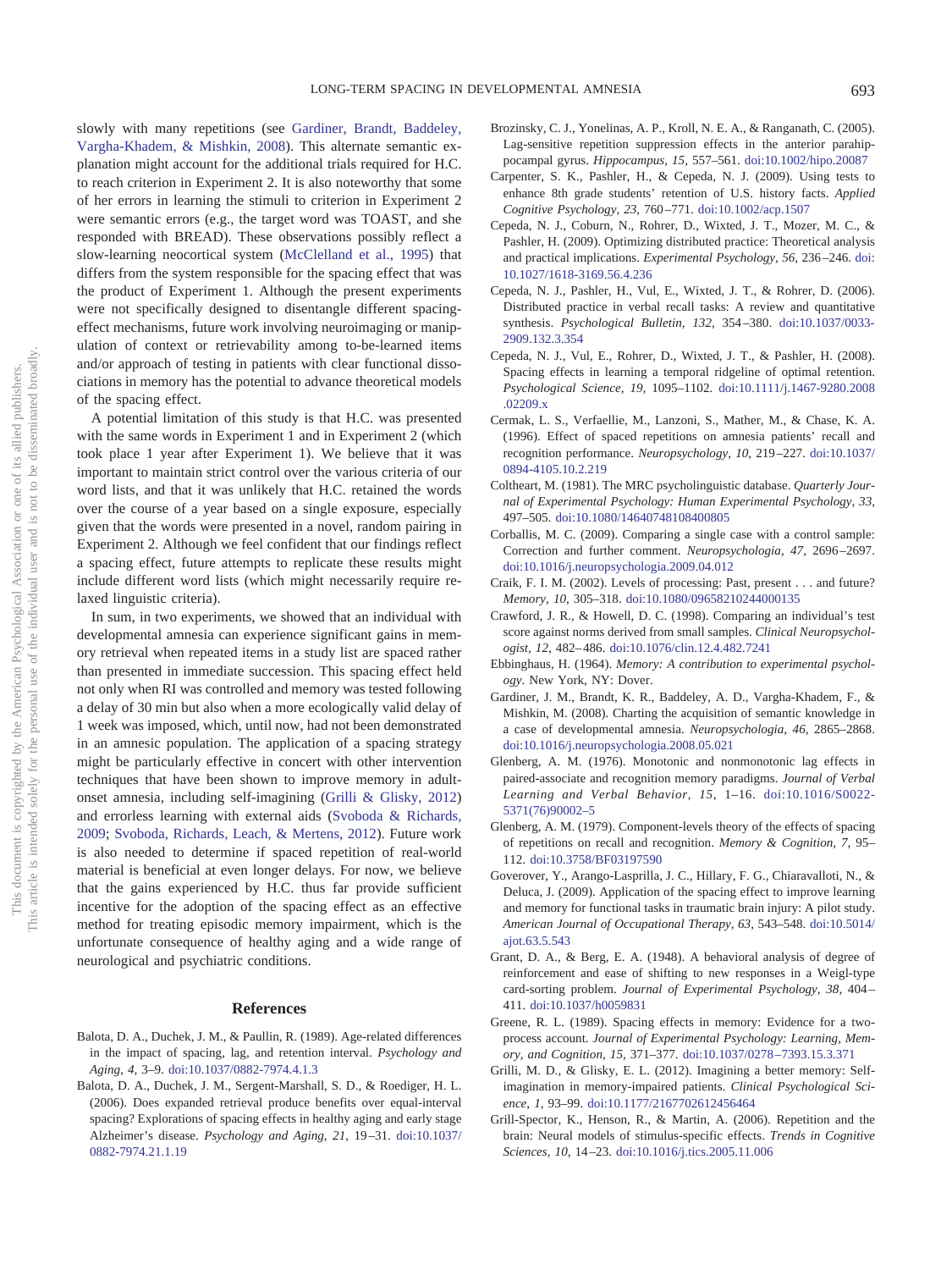slowly with many repetitions (see [Gardiner, Brandt, Baddeley,](#page-8-19) [Vargha-Khadem, & Mishkin, 2008\)](#page-8-19). This alternate semantic explanation might account for the additional trials required for H.C. to reach criterion in Experiment 2. It is also noteworthy that some of her errors in learning the stimuli to criterion in Experiment 2 were semantic errors (e.g., the target word was TOAST, and she responded with BREAD). These observations possibly reflect a slow-learning neocortical system [\(McClelland et al., 1995\)](#page-9-17) that differs from the system responsible for the spacing effect that was the product of Experiment 1. Although the present experiments were not specifically designed to disentangle different spacingeffect mechanisms, future work involving neuroimaging or manipulation of context or retrievability among to-be-learned items and/or approach of testing in patients with clear functional dissociations in memory has the potential to advance theoretical models of the spacing effect.

A potential limitation of this study is that H.C. was presented with the same words in Experiment 1 and in Experiment 2 (which took place 1 year after Experiment 1). We believe that it was important to maintain strict control over the various criteria of our word lists, and that it was unlikely that H.C. retained the words over the course of a year based on a single exposure, especially given that the words were presented in a novel, random pairing in Experiment 2. Although we feel confident that our findings reflect a spacing effect, future attempts to replicate these results might include different word lists (which might necessarily require relaxed linguistic criteria).

In sum, in two experiments, we showed that an individual with developmental amnesia can experience significant gains in memory retrieval when repeated items in a study list are spaced rather than presented in immediate succession. This spacing effect held not only when RI was controlled and memory was tested following a delay of 30 min but also when a more ecologically valid delay of 1 week was imposed, which, until now, had not been demonstrated in an amnesic population. The application of a spacing strategy might be particularly effective in concert with other intervention techniques that have been shown to improve memory in adultonset amnesia, including self-imagining [\(Grilli & Glisky, 2012\)](#page-8-20) and errorless learning with external aids [\(Svoboda & Richards,](#page-9-21) [2009;](#page-9-21) [Svoboda, Richards, Leach, & Mertens, 2012\)](#page-9-22). Future work is also needed to determine if spaced repetition of real-world material is beneficial at even longer delays. For now, we believe that the gains experienced by H.C. thus far provide sufficient incentive for the adoption of the spacing effect as an effective method for treating episodic memory impairment, which is the unfortunate consequence of healthy aging and a wide range of neurological and psychiatric conditions.

## **References**

- <span id="page-8-6"></span>Balota, D. A., Duchek, J. M., & Paullin, R. (1989). Age-related differences in the impact of spacing, lag, and retention interval. *Psychology and Aging, 4,* 3–9. [doi:10.1037/0882-7974.4.1.3](http://dx.doi.org/10.1037/0882-7974.4.1.3)
- <span id="page-8-13"></span>Balota, D. A., Duchek, J. M., Sergent-Marshall, S. D., & Roediger, H. L. (2006). Does expanded retrieval produce benefits over equal-interval spacing? Explorations of spacing effects in healthy aging and early stage Alzheimer's disease. *Psychology and Aging, 21,* 19 –31. [doi:10.1037/](http://dx.doi.org/10.1037/0882-7974.21.1.19) [0882-7974.21.1.19](http://dx.doi.org/10.1037/0882-7974.21.1.19)
- <span id="page-8-14"></span>Brozinsky, C. J., Yonelinas, A. P., Kroll, N. E. A., & Ranganath, C. (2005). Lag-sensitive repetition suppression effects in the anterior parahippocampal gyrus. *Hippocampus, 15,* 557–561. [doi:10.1002/hipo.20087](http://dx.doi.org/10.1002/hipo.20087)
- <span id="page-8-3"></span>Carpenter, S. K., Pashler, H., & Cepeda, N. J. (2009). Using tests to enhance 8th grade students' retention of U.S. history facts. *Applied Cognitive Psychology, 23,* 760 –771. [doi:10.1002/acp.1507](http://dx.doi.org/10.1002/acp.1507)
- <span id="page-8-11"></span>Cepeda, N. J., Coburn, N., Rohrer, D., Wixted, J. T., Mozer, M. C., & Pashler, H. (2009). Optimizing distributed practice: Theoretical analysis and practical implications. *Experimental Psychology, 56,* 236 –246. [doi:](http://dx.doi.org/10.1027/1618-3169.56.4.236) [10.1027/1618-3169.56.4.236](http://dx.doi.org/10.1027/1618-3169.56.4.236)
- <span id="page-8-0"></span>Cepeda, N. J., Pashler, H., Vul, E., Wixted, J. T., & Rohrer, D. (2006). Distributed practice in verbal recall tasks: A review and quantitative synthesis. *Psychological Bulletin, 132,* 354 –380. [doi:10.1037/0033-](http://dx.doi.org/10.1037/0033-2909.132.3.354) [2909.132.3.354](http://dx.doi.org/10.1037/0033-2909.132.3.354)
- <span id="page-8-12"></span>Cepeda, N. J., Vul, E., Rohrer, D., Wixted, J. T., & Pashler, H. (2008). Spacing effects in learning a temporal ridgeline of optimal retention. *Psychological Science, 19,* 1095–1102. [doi:10.1111/j.1467-9280.2008](http://dx.doi.org/10.1111/j.1467-9280.2008.02209.x) [.02209.x](http://dx.doi.org/10.1111/j.1467-9280.2008.02209.x)
- <span id="page-8-5"></span>Cermak, L. S., Verfaellie, M., Lanzoni, S., Mather, M., & Chase, K. A. (1996). Effect of spaced repetitions on amnesia patients' recall and recognition performance. *Neuropsychology, 10,* 219 –227. [doi:10.1037/](http://dx.doi.org/10.1037/0894-4105.10.2.219) [0894-4105.10.2.219](http://dx.doi.org/10.1037/0894-4105.10.2.219)
- <span id="page-8-8"></span>Coltheart, M. (1981). The MRC psycholinguistic database. *Quarterly Journal of Experimental Psychology: Human Experimental Psychology, 33,* 497–505. [doi:10.1080/14640748108400805](http://dx.doi.org/10.1080/14640748108400805)
- <span id="page-8-9"></span>Corballis, M. C. (2009). Comparing a single case with a control sample: Correction and further comment. *Neuropsychologia, 47,* 2696 –2697. [doi:10.1016/j.neuropsychologia.2009.04.012](http://dx.doi.org/10.1016/j.neuropsychologia.2009.04.012)
- <span id="page-8-18"></span>Craik, F. I. M. (2002). Levels of processing: Past, present . . . and future? *Memory, 10,* 305–318. [doi:10.1080/09658210244000135](http://dx.doi.org/10.1080/09658210244000135)
- <span id="page-8-10"></span>Crawford, J. R., & Howell, D. C. (1998). Comparing an individual's test score against norms derived from small samples. *Clinical Neuropsychologist, 12,* 482– 486. [doi:10.1076/clin.12.4.482.7241](http://dx.doi.org/10.1076/clin.12.4.482.7241)
- <span id="page-8-1"></span>Ebbinghaus, H. (1964). *Memory: A contribution to experimental psychology*. New York, NY: Dover.
- <span id="page-8-19"></span>Gardiner, J. M., Brandt, K. R., Baddeley, A. D., Vargha-Khadem, F., & Mishkin, M. (2008). Charting the acquisition of semantic knowledge in a case of developmental amnesia. *Neuropsychologia, 46,* 2865–2868. [doi:10.1016/j.neuropsychologia.2008.05.021](http://dx.doi.org/10.1016/j.neuropsychologia.2008.05.021)
- <span id="page-8-2"></span>Glenberg, A. M. (1976). Monotonic and nonmonotonic lag effects in paired-associate and recognition memory paradigms. *Journal of Verbal Learning and Verbal Behavior, 15,* 1–16. [doi:10.1016/S0022-](http://dx.doi.org/10.1016/S0022-5371%2876%2990002-5) [5371\(76\)90002–5](http://dx.doi.org/10.1016/S0022-5371%2876%2990002-5)
- <span id="page-8-16"></span>Glenberg, A. M. (1979). Component-levels theory of the effects of spacing of repetitions on recall and recognition. *Memory & Cognition, 7,* 95– 112. [doi:10.3758/BF03197590](http://dx.doi.org/10.3758/BF03197590)
- <span id="page-8-4"></span>Goverover, Y., Arango-Lasprilla, J. C., Hillary, F. G., Chiaravalloti, N., & Deluca, J. (2009). Application of the spacing effect to improve learning and memory for functional tasks in traumatic brain injury: A pilot study. *American Journal of Occupational Therapy, 63,* 543–548. [doi:10.5014/](http://dx.doi.org/10.5014/ajot.63.5.543) [ajot.63.5.543](http://dx.doi.org/10.5014/ajot.63.5.543)
- <span id="page-8-7"></span>Grant, D. A., & Berg, E. A. (1948). A behavioral analysis of degree of reinforcement and ease of shifting to new responses in a Weigl-type card-sorting problem. *Journal of Experimental Psychology, 38,* 404 – 411. [doi:10.1037/h0059831](http://dx.doi.org/10.1037/h0059831)
- <span id="page-8-17"></span>Greene, R. L. (1989). Spacing effects in memory: Evidence for a twoprocess account. *Journal of Experimental Psychology: Learning, Memory, and Cognition, 15,* 371–377. [doi:10.1037/0278 –7393.15.3.371](http://dx.doi.org/10.1037/0278-7393.15.3.371)
- <span id="page-8-20"></span>Grilli, M. D., & Glisky, E. L. (2012). Imagining a better memory: Selfimagination in memory-impaired patients. *Clinical Psychological Science, 1,* 93–99. [doi:10.1177/2167702612456464](http://dx.doi.org/10.1177/2167702612456464)
- <span id="page-8-15"></span>Grill-Spector, K., Henson, R., & Martin, A. (2006). Repetition and the brain: Neural models of stimulus-specific effects. *Trends in Cognitive Sciences, 10,* 14 –23. [doi:10.1016/j.tics.2005.11.006](http://dx.doi.org/10.1016/j.tics.2005.11.006)